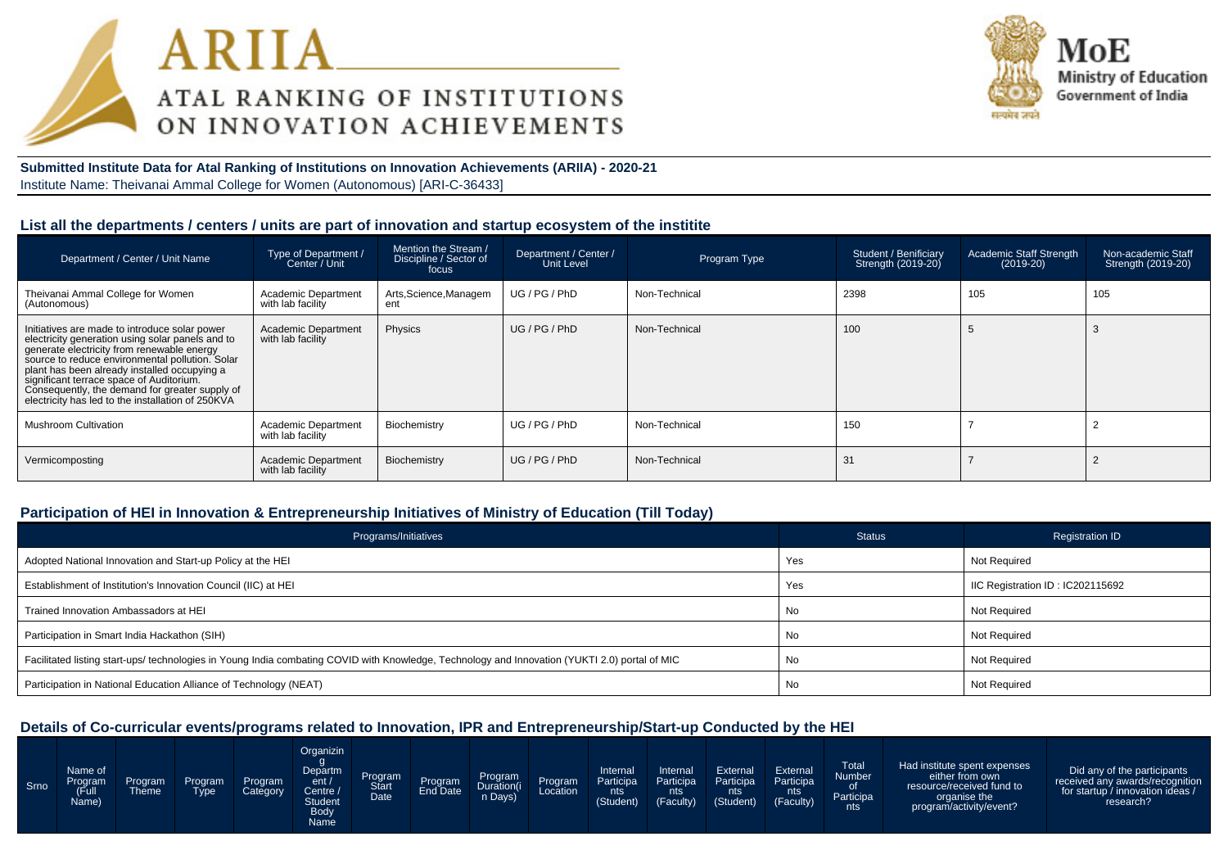



**Submitted Institute Data for Atal Ranking of Institutions on Innovation Achievements (ARIIA) - 2020-21**Institute Name: Theivanai Ammal College for Women (Autonomous) [ARI-C-36433]

#### **List all the departments / centers / units are part of innovation and startup ecosystem of the institite**

| Department / Center / Unit Name                                                                                                                                                                                                                                                                                                                                                                       | Type of Department /<br>Center / Unit           | Mention the Stream /<br>Discipline / Sector of<br>focus | Department / Center /<br>Unit Level | Program Type  | Student / Benificiary<br>Strength (2019-20) | Academic Staff Strength<br>$(2019-20)$ | Non-academic Staff<br>Strength (2019-20) |
|-------------------------------------------------------------------------------------------------------------------------------------------------------------------------------------------------------------------------------------------------------------------------------------------------------------------------------------------------------------------------------------------------------|-------------------------------------------------|---------------------------------------------------------|-------------------------------------|---------------|---------------------------------------------|----------------------------------------|------------------------------------------|
| Theivanai Ammal College for Women<br>(Autonomous)                                                                                                                                                                                                                                                                                                                                                     | <b>Academic Department</b><br>with lab facility | Arts, Science, Managem<br>ent                           | UG / PG / PhD                       | Non-Technical | 2398                                        | 105                                    | 105                                      |
| Initiatives are made to introduce solar power<br>electricity generation using solar panels and to<br>generate electricity from renewable energy<br>source to reduce environmental pollution. Solar<br>plant has been already installed occupying a<br>significant terrace space of Auditorium.<br>Consequently, the demand for greater supply of<br>electricity has led to the installation of 250KVA | <b>Academic Department</b><br>with lab facility | Physics                                                 | UG/PG/PhD                           | Non-Technical | 100                                         |                                        |                                          |
| <b>Mushroom Cultivation</b>                                                                                                                                                                                                                                                                                                                                                                           | Academic Department<br>with lab facility        | Biochemistry                                            | UG/PG/PhD                           | Non-Technical | 150                                         |                                        |                                          |
| Vermicomposting                                                                                                                                                                                                                                                                                                                                                                                       | <b>Academic Department</b><br>with lab facility | Biochemistry                                            | UG/PG/PhD                           | Non-Technical | 31                                          |                                        |                                          |

### **Participation of HEI in Innovation & Entrepreneurship Initiatives of Ministry of Education (Till Today)**

| Programs/Initiatives                                                                                                                           | <b>Status</b> | <b>Registration ID</b>           |
|------------------------------------------------------------------------------------------------------------------------------------------------|---------------|----------------------------------|
| Adopted National Innovation and Start-up Policy at the HEI                                                                                     | Yes           | <b>Not Required</b>              |
| Establishment of Institution's Innovation Council (IIC) at HEI                                                                                 | Yes           | IIC Registration ID: IC202115692 |
| Trained Innovation Ambassadors at HEI                                                                                                          | No            | Not Required                     |
| Participation in Smart India Hackathon (SIH)                                                                                                   | No            | <b>Not Required</b>              |
| Facilitated listing start-ups/ technologies in Young India combating COVID with Knowledge, Technology and Innovation (YUKTI 2.0) portal of MIC | No            | Not Required                     |
| Participation in National Education Alliance of Technology (NEAT)                                                                              | No            | Not Required                     |

## **Details of Co-curricular events/programs related to Innovation, IPR and Entrepreneurship/Start-up Conducted by the HEI**

| Srno | Name of<br>Program<br>(Full<br>Name) | Program<br><b>Theme</b> | Program<br>Tvpe | Program<br>Category | Organizin<br>Departm<br>ent/<br>Centre<br><b>Student</b><br><b>Body</b><br>Name | Program<br><b>Date</b> | Program | Program<br>Duration(i<br>n Days) | Program<br>Location | Internal<br>Participa<br>nts<br>(Student) | Internal<br>Participa<br>nts<br>(Faculty) | External<br>Participa<br>.nts'<br>(Student) | External<br>Participa<br>nts<br>(Faculty) | <b>Total</b><br>Number<br>Participa<br>nts | Had institute spent expenses<br>either from own<br>resource/received fund to<br>organise the<br>program/activity/event? | Did any of the participants<br>received any awards/recognition<br>for startup / innovation ideas /<br>research? |
|------|--------------------------------------|-------------------------|-----------------|---------------------|---------------------------------------------------------------------------------|------------------------|---------|----------------------------------|---------------------|-------------------------------------------|-------------------------------------------|---------------------------------------------|-------------------------------------------|--------------------------------------------|-------------------------------------------------------------------------------------------------------------------------|-----------------------------------------------------------------------------------------------------------------|
|------|--------------------------------------|-------------------------|-----------------|---------------------|---------------------------------------------------------------------------------|------------------------|---------|----------------------------------|---------------------|-------------------------------------------|-------------------------------------------|---------------------------------------------|-------------------------------------------|--------------------------------------------|-------------------------------------------------------------------------------------------------------------------------|-----------------------------------------------------------------------------------------------------------------|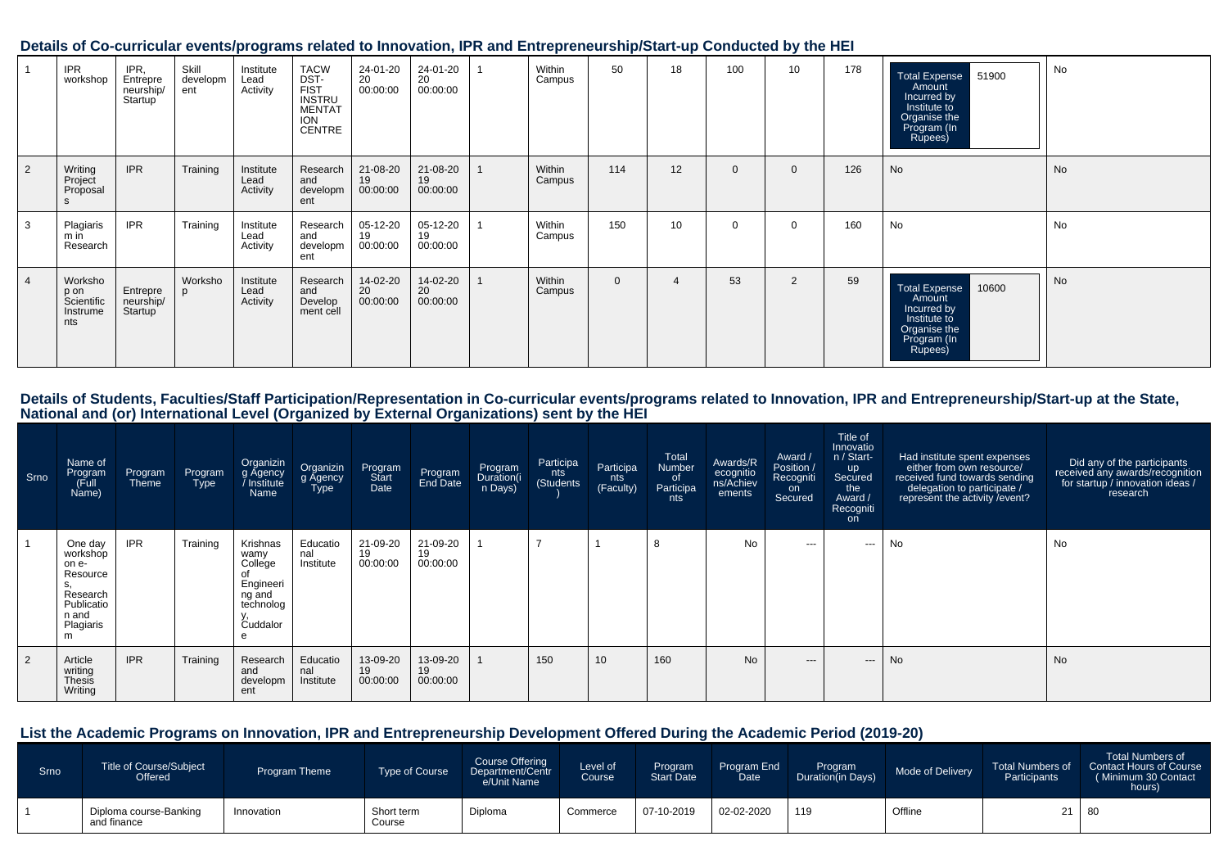#### **Details of Co-curricular events/programs related to Innovation, IPR and Entrepreneurship/Start-up Conducted by the HEI**

|                | <b>IPR</b><br>workshop                           | IPR.<br>Entrepre<br>neurship/<br>Startup <sup>'</sup> | Skill<br>developm<br>ent | Institute<br>Lead<br>Activity | <b>TACW</b><br>DST-<br>FIST<br>INSTRU<br><b>MENTAT</b><br><b>ION</b><br><b>CENTRE</b> | 24-01-20<br>20<br>00:00:00 | 24-01-20<br>20<br>00:00:00 | Within<br>Campus | 50       | 18 | 100          | 10             | 178 | <b>Total Expense</b><br>51900<br>Amount<br>Incurred by<br>Institute to<br>Organise the<br>Program (In<br>Rupees) | No |
|----------------|--------------------------------------------------|-------------------------------------------------------|--------------------------|-------------------------------|---------------------------------------------------------------------------------------|----------------------------|----------------------------|------------------|----------|----|--------------|----------------|-----|------------------------------------------------------------------------------------------------------------------|----|
| $\overline{2}$ | Writing<br>Project<br>Proposal                   | <b>IPR</b>                                            | Training                 | Institute<br>Lead<br>Activity | Research<br>and<br>developm<br>ent                                                    | 21-08-20<br>19<br>00:00:00 | 21-08-20<br>19<br>00:00:00 | Within<br>Campus | 114      | 12 | $\mathbf{0}$ | $\Omega$       | 126 | No                                                                                                               | No |
| 3              | Plagiaris<br>m in<br>Research                    | <b>IPR</b>                                            | Training                 | Institute<br>Lead<br>Activity | Research<br>and<br>developm<br>ent                                                    | 05-12-20<br>19<br>00:00:00 | 05-12-20<br>19<br>00:00:00 | Within<br>Campus | 150      | 10 | $\Omega$     | $\Omega$       | 160 | No                                                                                                               | No |
| 4              | Worksho<br>p on<br>Scientific<br>Instrume<br>nts | Entrepre<br>neurship/<br>Startup                      | Worksho<br>D             | Institute<br>Lead<br>Activity | Research<br>and<br>Develop<br>ment cell                                               | 14-02-20<br>20<br>00:00:00 | 14-02-20<br>20<br>00:00:00 | Within<br>Campus | $\Omega$ | 4  | 53           | $\overline{2}$ | 59  | 10600<br><b>Total Expense</b><br>Amount<br>Incurred by<br>Institute to<br>Organise the<br>Program (In<br>Rupees) | No |

Details of Students, Faculties/Staff Participation/Representation in Co-curricular events/programs related to Innovation, IPR and Entrepreneurship/Start-up at the State,<br>National and (or) International Level (Organized by

| Srno | Name of<br>Program<br>Full)<br>Name)                                                                | Program<br>Theme | Program<br>Type | Organizin<br>g Agency<br>Institute /<br>Name                                | Organizin<br>g Agency<br>Type | Program<br>Start<br>Date   | Program<br>End Date        | Program<br>Duration(i<br>n Days) | Participa<br>nts<br>(Students | Participa<br>nts<br>(Faculty) | Total<br>Number<br>_of<br>Participa<br>nts | Awards/R<br>ecognitio<br>ns/Achiev<br>ements | Award /<br>Position /<br>Recogniti<br>on<br>Secured | Title of<br>Innovatio<br>n / Start-<br>up<br>Secured<br>the<br>Award /<br>Recogniti<br>on | Had institute spent expenses<br>either from own resource/<br>received fund towards sending<br>delegation to participate /<br>represent the activity / event? | Did any of the participants<br>received any awards/recognition<br>for startup / innovation ideas /<br>research |
|------|-----------------------------------------------------------------------------------------------------|------------------|-----------------|-----------------------------------------------------------------------------|-------------------------------|----------------------------|----------------------------|----------------------------------|-------------------------------|-------------------------------|--------------------------------------------|----------------------------------------------|-----------------------------------------------------|-------------------------------------------------------------------------------------------|--------------------------------------------------------------------------------------------------------------------------------------------------------------|----------------------------------------------------------------------------------------------------------------|
|      | One day<br>workshop<br>on e-<br>Resource<br>s.<br>Research<br>Publicatio<br>n and<br>Plagiaris<br>m | <b>IPR</b>       | Training        | Krishnas<br>wamy<br>College<br>Engineeri<br>ng and<br>technolog<br>Cuddalor | Educatio<br>nal<br>Institute  | 21-09-20<br>19<br>00:00:00 | 21-09-20<br>19<br>00:00:00 |                                  | -                             |                               | 8                                          | No                                           | $- - -$                                             | $\cdots$                                                                                  | No                                                                                                                                                           | <b>No</b>                                                                                                      |
|      | Article<br>writing<br>Thesis<br>Writing                                                             | <b>IPR</b>       | Training        | Research<br>and<br>developm<br>ent                                          | Educatio<br>nal<br>Institute  | 13-09-20<br>19<br>00:00:00 | 13-09-20<br>19<br>00:00:00 |                                  | 150                           | 10 <sup>1</sup>               | 160                                        | <b>No</b>                                    | $---$                                               | $---$                                                                                     | <b>No</b>                                                                                                                                                    | <b>No</b>                                                                                                      |

# **List the Academic Programs on Innovation, IPR and Entrepreneurship Development Offered During the Academic Period (2019-20)**

| <b>Srno</b> | <b>Title of Course/Subject</b><br>Offered | Program Theme | <b>Type of Course</b> | Course Offering<br>Department/Centr<br>Le/Unit Name | Level of<br>Course | Program<br><b>Start Date</b> | Program End<br>Date <sup>1</sup> | Program<br>Duration(in Days) | Mode of Delivery | <b>Total Numbers of</b><br>Participants | <b>Total Numbers of</b><br>Contact Hours of Course<br>(Minimum 30 Contact<br>hours) |
|-------------|-------------------------------------------|---------------|-----------------------|-----------------------------------------------------|--------------------|------------------------------|----------------------------------|------------------------------|------------------|-----------------------------------------|-------------------------------------------------------------------------------------|
|             | Diploma course-Banking<br>and finance     | Innovation    | Short term<br>Course  | Diploma                                             | Commerce           | 07-10-2019                   | 02-02-2020                       | 119                          | Offline          | 21                                      | 80                                                                                  |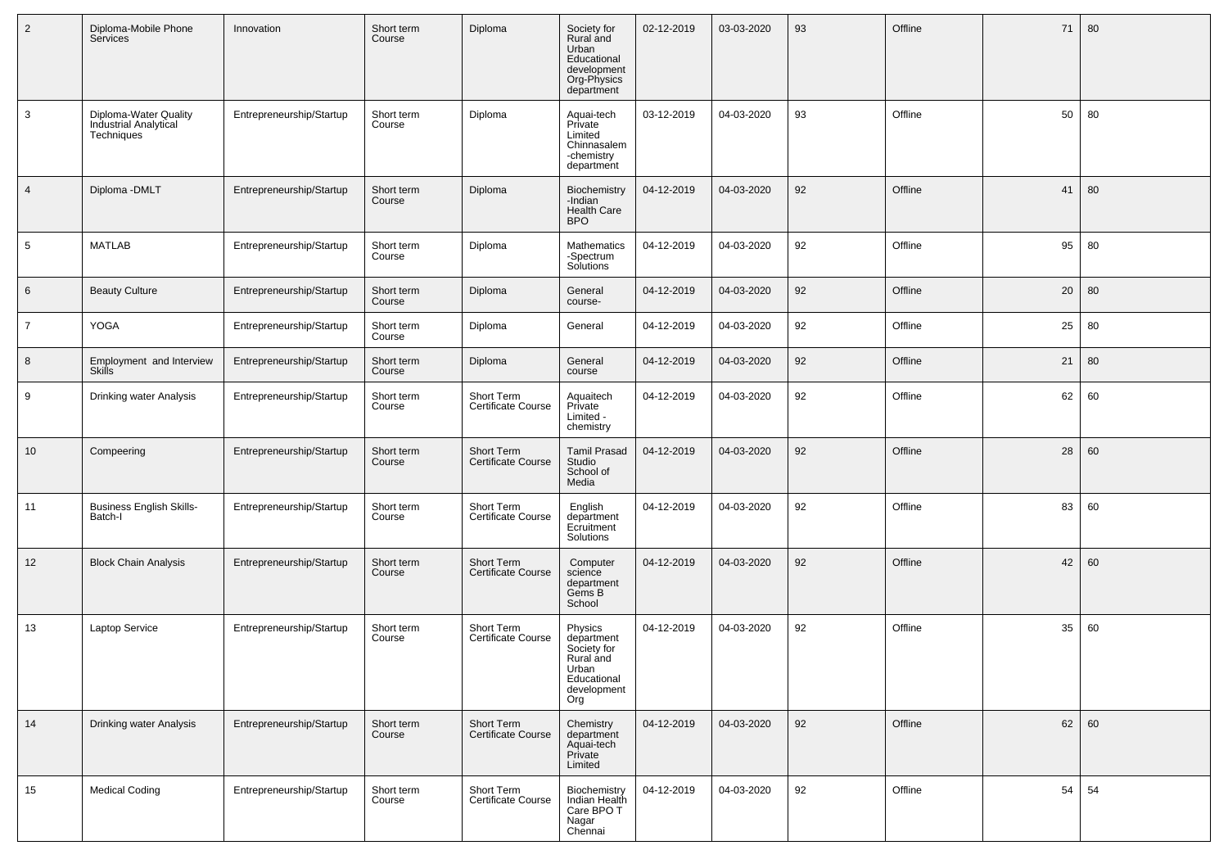| $\overline{2}$  | Diploma-Mobile Phone<br>Services                             | Innovation               | Short term<br>Course | Diploma                                 | Society for<br>Rural and<br>Urban<br>Educational<br>development<br>Org-Physics<br>department    | 02-12-2019 | 03-03-2020 | 93 | Offline | 71 | 80 |
|-----------------|--------------------------------------------------------------|--------------------------|----------------------|-----------------------------------------|-------------------------------------------------------------------------------------------------|------------|------------|----|---------|----|----|
| 3               | Diploma-Water Quality<br>Industrial Analytical<br>Techniques | Entrepreneurship/Startup | Short term<br>Course | Diploma                                 | Aquai-tech<br>Private<br>Limited<br>Chinnasalem<br>-chemistry<br>department                     | 03-12-2019 | 04-03-2020 | 93 | Offline | 50 | 80 |
| $\overline{4}$  | Diploma - DMLT                                               | Entrepreneurship/Startup | Short term<br>Course | Diploma                                 | Biochemistry<br>-Indian<br><b>Health Care</b><br><b>BPO</b>                                     | 04-12-2019 | 04-03-2020 | 92 | Offline | 41 | 80 |
| $5\phantom{.0}$ | <b>MATLAB</b>                                                | Entrepreneurship/Startup | Short term<br>Course | Diploma                                 | Mathematics<br>-Spectrum<br>Solutions                                                           | 04-12-2019 | 04-03-2020 | 92 | Offline | 95 | 80 |
| $6\phantom{1}$  | <b>Beauty Culture</b>                                        | Entrepreneurship/Startup | Short term<br>Course | Diploma                                 | General<br>course-                                                                              | 04-12-2019 | 04-03-2020 | 92 | Offline | 20 | 80 |
| $\overline{7}$  | YOGA                                                         | Entrepreneurship/Startup | Short term<br>Course | Diploma                                 | General                                                                                         | 04-12-2019 | 04-03-2020 | 92 | Offline | 25 | 80 |
| 8               | Employment and Interview<br><b>Skills</b>                    | Entrepreneurship/Startup | Short term<br>Course | Diploma                                 | General<br>course                                                                               | 04-12-2019 | 04-03-2020 | 92 | Offline | 21 | 80 |
| 9               | Drinking water Analysis                                      | Entrepreneurship/Startup | Short term<br>Course | Short Term<br><b>Certificate Course</b> | Aquaitech<br>Private<br>Limited -<br>chemistry                                                  | 04-12-2019 | 04-03-2020 | 92 | Offline | 62 | 60 |
| 10              | Compeering                                                   | Entrepreneurship/Startup | Short term<br>Course | Short Term<br><b>Certificate Course</b> | <b>Tamil Prasad</b><br>Studio<br>School of<br>Media                                             | 04-12-2019 | 04-03-2020 | 92 | Offline | 28 | 60 |
| 11              | <b>Business English Skills-</b><br>Batch-I                   | Entrepreneurship/Startup | Short term<br>Course | Short Term<br>Certificate Course        | English<br>department<br>Ecruitment<br>Solutions                                                | 04-12-2019 | 04-03-2020 | 92 | Offline | 83 | 60 |
| 12              | <b>Block Chain Analysis</b>                                  | Entrepreneurship/Startup | Short term<br>Course | Short Term<br><b>Certificate Course</b> | Computer<br>science<br>department<br>Gems B<br>School                                           | 04-12-2019 | 04-03-2020 | 92 | Offline | 42 | 60 |
| 13              | Laptop Service                                               | Entrepreneurship/Startup | Short term<br>Course | Short Term<br>Certificate Course        | Physics<br>department<br>Society for<br>Rural and<br>Urban<br>Educational<br>development<br>Org | 04-12-2019 | 04-03-2020 | 92 | Offline | 35 | 60 |
| 14              | Drinking water Analysis                                      | Entrepreneurship/Startup | Short term<br>Course | Short Term<br>Certificate Course        | Chemistry<br>department<br>Aquai-tech<br>Private<br>Limited                                     | 04-12-2019 | 04-03-2020 | 92 | Offline | 62 | 60 |
| 15              | <b>Medical Coding</b>                                        | Entrepreneurship/Startup | Short term<br>Course | Short Term<br>Certificate Course        | Biochemistry<br>Indian Health<br>Care BPO T<br>Nagar<br>Chennai                                 | 04-12-2019 | 04-03-2020 | 92 | Offline | 54 | 54 |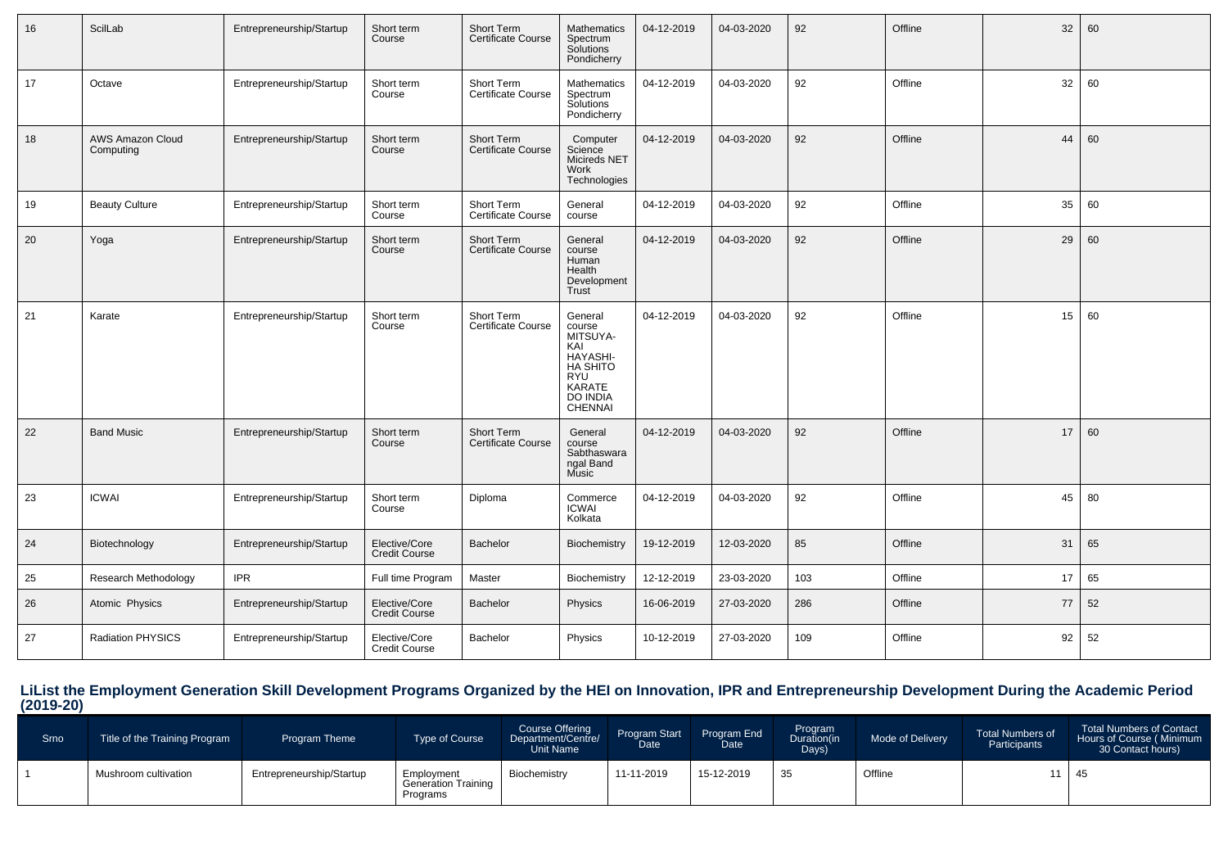| 16 | ScilLab                              | Entrepreneurship/Startup | Short term<br>Course                  | Short Term<br>Certificate Course        | Mathematics<br>Spectrum<br>Solutions<br>Pondicherry                                                                       | 04-12-2019 | 04-03-2020 | 92  | Offline | 32 | 60 |
|----|--------------------------------------|--------------------------|---------------------------------------|-----------------------------------------|---------------------------------------------------------------------------------------------------------------------------|------------|------------|-----|---------|----|----|
| 17 | Octave                               | Entrepreneurship/Startup | Short term<br>Course                  | Short Term<br>Certificate Course        | <b>Mathematics</b><br>Spectrum<br>Solutions<br>Pondicherry                                                                | 04-12-2019 | 04-03-2020 | 92  | Offline | 32 | 60 |
| 18 | <b>AWS Amazon Cloud</b><br>Computing | Entrepreneurship/Startup | Short term<br>Course                  | Short Term<br><b>Certificate Course</b> | Computer<br>Science<br>Micireds NET<br>Work<br>Technologies                                                               | 04-12-2019 | 04-03-2020 | 92  | Offline | 44 | 60 |
| 19 | <b>Beauty Culture</b>                | Entrepreneurship/Startup | Short term<br>Course                  | Short Term<br>Certificate Course        | General<br>course                                                                                                         | 04-12-2019 | 04-03-2020 | 92  | Offline | 35 | 60 |
| 20 | Yoga                                 | Entrepreneurship/Startup | Short term<br>Course                  | Short Term<br>Certificate Course        | General<br>course<br>Human<br>Health<br>Development<br>Trust                                                              | 04-12-2019 | 04-03-2020 | 92  | Offline | 29 | 60 |
| 21 | Karate                               | Entrepreneurship/Startup | Short term<br>Course                  | Short Term<br><b>Certificate Course</b> | General<br>course<br>MITSUYA-<br>KAI<br>HAYASHI-<br>HA SHITO<br><b>RYU</b><br>KARATE<br><b>DO INDIA</b><br><b>CHENNAI</b> | 04-12-2019 | 04-03-2020 | 92  | Offline | 15 | 60 |
| 22 | <b>Band Music</b>                    | Entrepreneurship/Startup | Short term<br>Course                  | Short Term<br><b>Certificate Course</b> | General<br>course<br>Sabthaswara<br>ngal Band<br>Music                                                                    | 04-12-2019 | 04-03-2020 | 92  | Offline | 17 | 60 |
| 23 | <b>ICWAI</b>                         | Entrepreneurship/Startup | Short term<br>Course                  | Diploma                                 | Commerce<br>ICWAI<br>Kolkata                                                                                              | 04-12-2019 | 04-03-2020 | 92  | Offline | 45 | 80 |
| 24 | Biotechnology                        | Entrepreneurship/Startup | Elective/Core<br>Credit Course        | <b>Bachelor</b>                         | Biochemistry                                                                                                              | 19-12-2019 | 12-03-2020 | 85  | Offline | 31 | 65 |
| 25 | Research Methodology                 | <b>IPR</b>               | Full time Program                     | Master                                  | Biochemistry                                                                                                              | 12-12-2019 | 23-03-2020 | 103 | Offline | 17 | 65 |
| 26 | Atomic Physics                       | Entrepreneurship/Startup | Elective/Core<br>Credit Course        | Bachelor                                | Physics                                                                                                                   | 16-06-2019 | 27-03-2020 | 286 | Offline | 77 | 52 |
| 27 | <b>Radiation PHYSICS</b>             | Entrepreneurship/Startup | Elective/Core<br><b>Credit Course</b> | Bachelor                                | Physics                                                                                                                   | 10-12-2019 | 27-03-2020 | 109 | Offline | 92 | 52 |

**LiList the Employment Generation Skill Development Programs Organized by the HEI on Innovation, IPR and Entrepreneurship Development During the Academic Period (2019-20)**

| Srno | Title of the Training Program | <b>Program Theme</b>     | <b>Type of Course</b>                                | <b>Course Offering</b><br>Department/Centre/<br>Unit Name | Program Start<br>Date | Program End<br>Date | Program<br>Duration(in<br>Days) | Mode of Delivery | <b>Total Numbers of</b><br>Participants | <b>Total Numbers of Contact</b><br>Hours of Course (Minimum<br>30 Contact hours) |
|------|-------------------------------|--------------------------|------------------------------------------------------|-----------------------------------------------------------|-----------------------|---------------------|---------------------------------|------------------|-----------------------------------------|----------------------------------------------------------------------------------|
|      | Mushroom cultivation          | Entrepreneurship/Startup | Employment<br><b>Generation Training</b><br>Programs | Biochemistry                                              | 11-11-2019            | 15-12-2019          | 35                              | Offline          |                                         | -45                                                                              |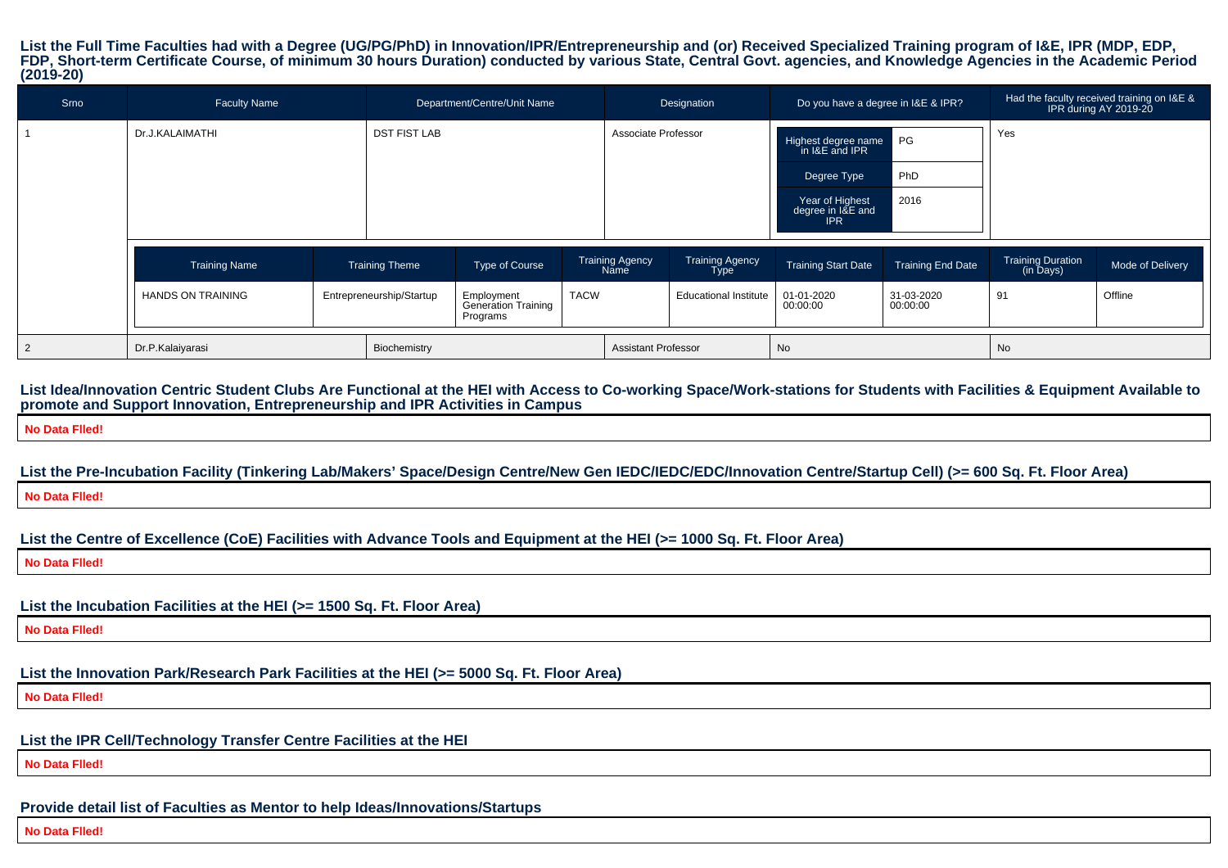**List the Full Time Faculties had with a Degree (UG/PG/PhD) in Innovation/IPR/Entrepreneurship and (or) Received Specialized Training program of I&E, IPR (MDP, EDP, FDP, Short-term Certificate Course, of minimum 30 hours Duration) conducted by various State, Central Govt. agencies, and Knowledge Agencies in the Academic Period(2019-20)**

| Srno | <b>Faculty Name</b>              |                          |                                         |                                                                     | Department/Centre/Unit Name |                                |                                       | Do you have a degree in I&E & IPR?                 |                          | Had the faculty received training on I&E &<br>IPR during AY 2019-20 |                  |
|------|----------------------------------|--------------------------|-----------------------------------------|---------------------------------------------------------------------|-----------------------------|--------------------------------|---------------------------------------|----------------------------------------------------|--------------------------|---------------------------------------------------------------------|------------------|
|      | Dr.J.KALAIMATHI                  |                          | <b>DST FIST LAB</b>                     |                                                                     |                             | Associate Professor            |                                       | Highest degree name<br>in I&E and IPR              | l PG                     | Yes                                                                 |                  |
|      |                                  |                          |                                         |                                                                     |                             |                                |                                       | PhD<br>Degree Type                                 |                          |                                                                     |                  |
|      |                                  |                          |                                         |                                                                     |                             |                                |                                       | Year of Highest<br>degree in I&E and<br><b>IPR</b> | 2016                     |                                                                     |                  |
|      | <b>Training Name</b>             |                          | Type of Course<br><b>Training Theme</b> |                                                                     |                             | <b>Training Agency</b><br>Name | <b>Training Agency</b><br><b>Type</b> | <b>Training Start Date</b>                         | <b>Training End Date</b> | <b>Training Duration</b><br>(in Days)                               | Mode of Delivery |
|      | <b>HANDS ON TRAINING</b>         | Entrepreneurship/Startup |                                         | <b>TACW</b><br>Employment<br><b>Generation Training</b><br>Programs |                             |                                | <b>Educational Institute</b>          | 01-01-2020<br>00:00:00                             | 31-03-2020<br>00:00:00   | 91                                                                  | Offline          |
|      | Dr.P.Kalaiyarasi<br>Biochemistry |                          |                                         |                                                                     |                             |                                | <b>Assistant Professor</b>            | No                                                 |                          | No                                                                  |                  |

**List Idea/Innovation Centric Student Clubs Are Functional at the HEI with Access to Co-working Space/Work-stations for Students with Facilities & Equipment Available topromote and Support Innovation, Entrepreneurship and IPR Activities in Campus**

**No Data Flled!**

**List the Pre-Incubation Facility (Tinkering Lab/Makers' Space/Design Centre/New Gen IEDC/IEDC/EDC/Innovation Centre/Startup Cell) (>= 600 Sq. Ft. Floor Area)No Data Flled!**

**List the Centre of Excellence (CoE) Facilities with Advance Tools and Equipment at the HEI (>= 1000 Sq. Ft. Floor Area)**

**No Data Flled!**

**List the Incubation Facilities at the HEI (>= 1500 Sq. Ft. Floor Area)**

**No Data Flled!**

**List the Innovation Park/Research Park Facilities at the HEI (>= 5000 Sq. Ft. Floor Area)**

**No Data Flled!**

**List the IPR Cell/Technology Transfer Centre Facilities at the HEI**

**No Data Flled!**

**Provide detail list of Faculties as Mentor to help Ideas/Innovations/Startups**

**No Data Flled!**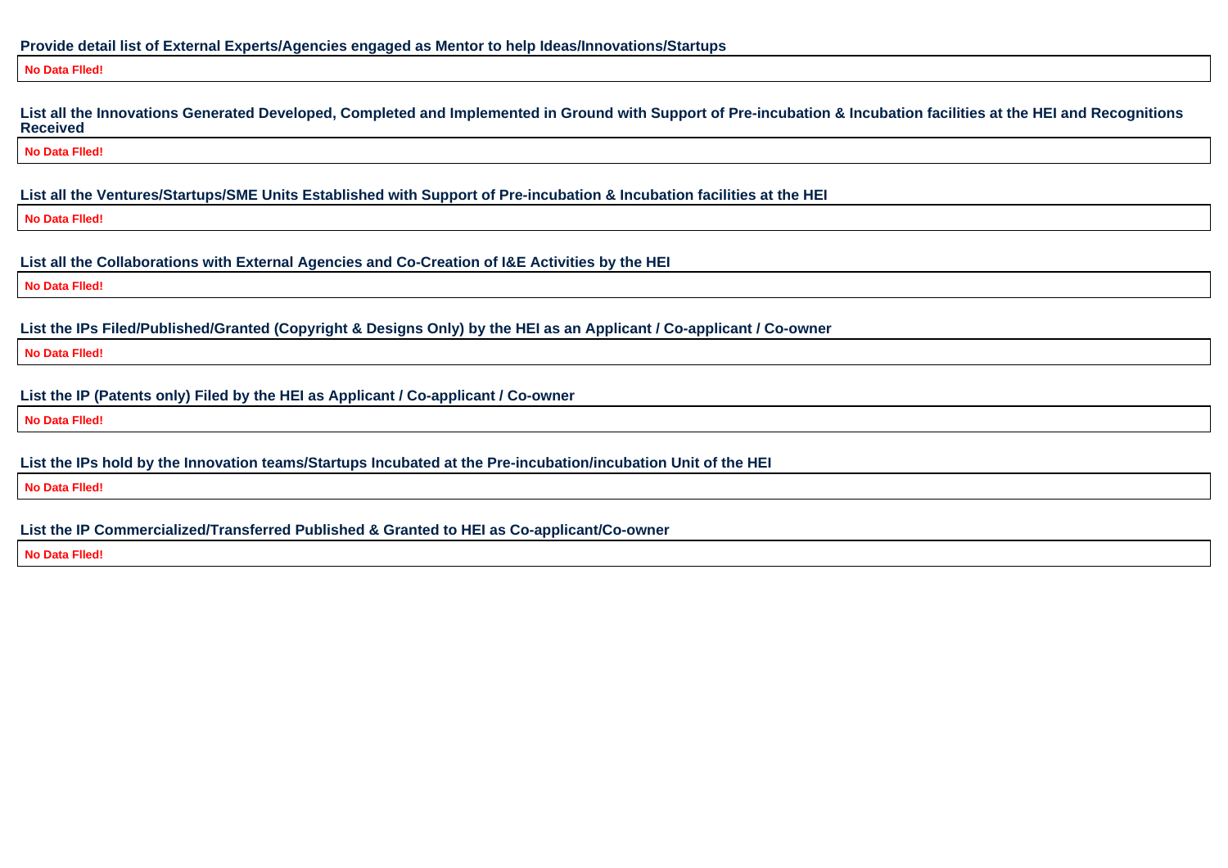## **Provide detail list of External Experts/Agencies engaged as Mentor to help Ideas/Innovations/Startups**

#### **No Data Flled!**

**List all the Innovations Generated Developed, Completed and Implemented in Ground with Support of Pre-incubation & Incubation facilities at the HEI and RecognitionsReceived**

**No Data Flled!**

**List all the Ventures/Startups/SME Units Established with Support of Pre-incubation & Incubation facilities at the HEI**

**No Data Flled!**

**List all the Collaborations with External Agencies and Co-Creation of I&E Activities by the HEI**

**No Data Flled!**

**List the IPs Filed/Published/Granted (Copyright & Designs Only) by the HEI as an Applicant / Co-applicant / Co-owner**

**No Data Flled!**

**List the IP (Patents only) Filed by the HEI as Applicant / Co-applicant / Co-owner**

**No Data Flled!**

**List the IPs hold by the Innovation teams/Startups Incubated at the Pre-incubation/incubation Unit of the HEI**

**No Data Flled!**

**List the IP Commercialized/Transferred Published & Granted to HEI as Co-applicant/Co-owner**

**No Data Flled!**